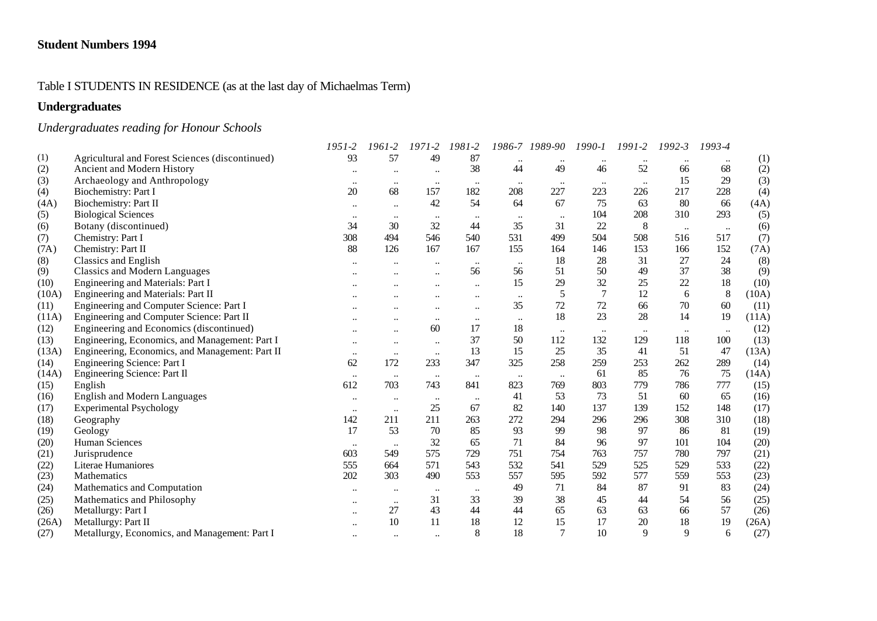## Table I STUDENTS IN RESIDENCE (as at the last day of Michaelmas Term)

# **Undergraduates**

# *Undergraduates reading for Honour Schools*

|       |                                                 | $1951 - 2$           | 1961-2               | $1971 - 2$       | 1981-2               |           | 1986-7 1989-90 | $1990 - 1$     | 1991-2       | $1992 - 3$ | 1993-4    |       |
|-------|-------------------------------------------------|----------------------|----------------------|------------------|----------------------|-----------|----------------|----------------|--------------|------------|-----------|-------|
| (1)   | Agricultural and Forest Sciences (discontinued) | 93                   | 57                   | 49               | 87                   |           | $\ddotsc$      |                |              |            |           | (1)   |
| (2)   | Ancient and Modern History                      |                      | $\ddot{\phantom{0}}$ |                  | 38                   | 44        | 49             | 46             | 52           | 66         | 68        | (2)   |
| (3)   | Archaeology and Anthropology                    | $\ddotsc$            | $\ddotsc$            | $\cdots$         | $\ddotsc$            |           | $\ldots$       |                |              | 15         | 29        | (3)   |
| (4)   | Biochemistry: Part I                            | 20                   | 68                   | 157              | 182                  | 208       | 227            | 223            | 226          | 217        | 228       | (4)   |
| (4A)  | Biochemistry: Part II                           | $\cdots$             | $\ddotsc$            | 42               | 54                   | 64        | 67             | 75             | 63           | 80         | 66        | (4A)  |
| (5)   | <b>Biological Sciences</b>                      | $\ddotsc$            | $\ddotsc$            | $\bullet\bullet$ |                      |           | $\ddotsc$      | 104            | 208          | 310        | 293       | (5)   |
| (6)   | Botany (discontinued)                           | 34                   | 30                   | 32               | 44                   | 35        | 31             | 22             | 8            | $\ddotsc$  | $\ldots$  | (6)   |
| (7)   | Chemistry: Part I                               | 308                  | 494                  | 546              | 540                  | 531       | 499            | 504            | 508          | 516        | 517       | (7)   |
| (7A)  | Chemistry: Part II                              | 88                   | 126                  | 167              | 167                  | 155       | 164            | 146            | 153          | 166        | 152       | (7A)  |
| (8)   | <b>Classics and English</b>                     |                      |                      | $\ddotsc$        | $\ddotsc$            | $\cdots$  | 18             | 28             | 31           | 27         | 24        | (8)   |
| (9)   | <b>Classics and Modern Languages</b>            |                      |                      |                  | 56                   | 56        | 51             | 50             | 49           | 37         | 38        | (9)   |
| (10)  | Engineering and Materials: Part I               |                      |                      |                  | $\ddot{\phantom{a}}$ | 15        | 29             | 32             | 25           | 22         | 18        | (10)  |
| (10A) | Engineering and Materials: Part II              |                      |                      |                  |                      | $\ddotsc$ | 5              | $\overline{7}$ | 12           | 6          | 8         | (10A) |
| (11)  | Engineering and Computer Science: Part I        |                      |                      |                  | $\ddotsc$            | 35        | 72             | 72             | 66           | $70\,$     | 60        | (11)  |
| (11A) | Engineering and Computer Science: Part II       |                      |                      | $\ddotsc$        | $\ddotsc$            | $\ddotsc$ | 18             | 23             | 28           | 14         | 19        | (11A) |
| (12)  | Engineering and Economics (discontinued)        |                      |                      | 60               | 17                   | 18        | $\ldots$       | $\ddotsc$      | $\ddotsc$    | $\ddotsc$  | $\ddotsc$ | (12)  |
| (13)  | Engineering, Economics, and Management: Part I  | $\ddotsc$            | $\ddot{\phantom{0}}$ | $\ldots$         | 37                   | 50        | 112            | 132            | 129          | 118        | 100       | (13)  |
| (13A) | Engineering, Economics, and Management: Part II | $\ddotsc$            | $\ddotsc$            | $\ddotsc$        | 13                   | 15        | 25             | 35             | 41           | 51         | 47        | (13A) |
| (14)  | Engineering Science: Part I                     | 62                   | 172                  | 233              | 347                  | 325       | 258            | 259            | 253          | 262        | 289       | (14)  |
| (14A) | Engineering Science: Part II                    | $\ddotsc$            | $\ddotsc$            | $\cdots$         | $\ddotsc$            | $\ldots$  | $\ldots$       | 61             | 85           | 76         | 75        | (14A) |
| (15)  | English                                         | 612                  | 703                  | 743              | 841                  | 823       | 769            | 803            | 779          | 786        | 777       | (15)  |
| (16)  | <b>English and Modern Languages</b>             | $\cdots$             | $\ddotsc$            | $\ldots$         | $\ddotsc$            | 41        | 53             | 73             | 51           | 60         | 65        | (16)  |
| (17)  | <b>Experimental Psychology</b>                  | $\ddotsc$            | $\ddotsc$            | 25               | 67                   | 82        | 140            | 137            | 139          | 152        | 148       | (17)  |
| (18)  | Geography                                       | 142                  | 211                  | 211              | 263                  | 272       | 294            | 296            | 296          | 308        | 310       | (18)  |
| (19)  | Geology                                         | 17                   | 53                   | 70               | 85                   | 93        | 99             | 98             | 97           | 86         | 81        | (19)  |
| (20)  | Human Sciences                                  | $\ddot{\phantom{0}}$ | $\ddot{\phantom{0}}$ | 32               | 65                   | 71        | 84             | 96             | 97           | 101        | 104       | (20)  |
| (21)  | Jurisprudence                                   | 603                  | 549                  | 575              | 729                  | 751       | 754            | 763            | 757          | 780        | 797       | (21)  |
| (22)  | Literae Humaniores                              | 555                  | 664                  | 571              | 543                  | 532       | 541            | 529            | 525          | 529        | 533       | (22)  |
| (23)  | <b>Mathematics</b>                              | 202                  | 303                  | 490              | 553                  | 557       | 595            | 592            | 577          | 559        | 553       | (23)  |
| (24)  | Mathematics and Computation                     |                      | $\ddotsc$            | $\cdots$         | $\ddotsc$            | 49        | 71             | 84             | 87           | 91         | 83        | (24)  |
| (25)  | Mathematics and Philosophy                      | $\ddotsc$            | $\ldots$             | 31               | 33                   | 39        | 38             | 45             | 44           | 54         | 56        | (25)  |
| (26)  | Metallurgy: Part I                              |                      | 27                   | 43               | 44                   | 44        | 65             | 63             | 63           | 66         | 57        | (26)  |
| (26A) | Metallurgy: Part II                             |                      | 10                   | 11               | 18                   | 12        | 15             | 17             | 20           | 18         | 19        | (26A) |
| (27)  | Metallurgy, Economics, and Management: Part I   | $\ddot{\phantom{0}}$ | $\ddot{\phantom{0}}$ | $\ddotsc$        | 8                    | 18        | $\tau$         | 10             | $\mathbf{Q}$ | 9          | 6         | (27)  |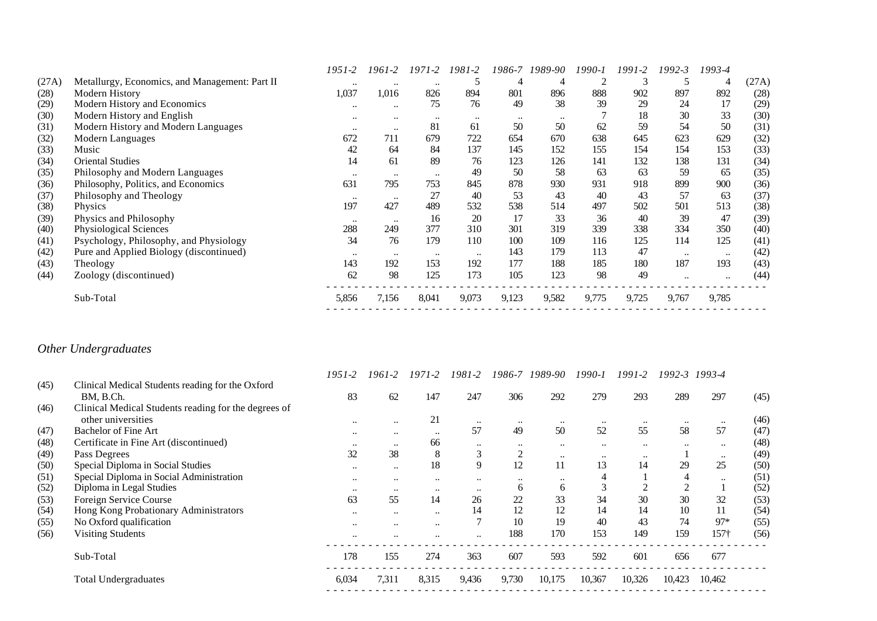|       |                                                | 1951-2    | 1961-2           | 1971-2    | 1981-2    | 1986-7           | 1989-90 | 1990-1 | 1991-2 | 1992-3               | 1993-4    |       |
|-------|------------------------------------------------|-----------|------------------|-----------|-----------|------------------|---------|--------|--------|----------------------|-----------|-------|
| (27A) | Metallurgy, Economics, and Management: Part II | $\ddotsc$ | $\ddotsc$        | $\ddotsc$ |           | 4                | 4       |        | 3      |                      | 4         | (27A) |
| (28)  | Modern History                                 | 1,037     | 1,016            | 826       | 894       | 801              | 896     | 888    | 902    | 897                  | 892       | (28)  |
| (29)  | Modern History and Economics                   | $\ddotsc$ | $\ddotsc$        | 75        | 76        | 49               | 38      | 39     | 29     | 24                   | 17        | (29)  |
| (30)  | Modern History and English                     | $\ddotsc$ | $\bullet\bullet$ | $\ddotsc$ | $\ddotsc$ | $\bullet\bullet$ |         |        | 18     | 30                   | 33        | (30)  |
| (31)  | Modern History and Modern Languages            | $\ddotsc$ | $\ddotsc$        | 81        | 61        | 50               | 50      | 62     | 59     | 54                   | 50        | (31)  |
| (32)  | Modern Languages                               | 672       | 711              | 679       | 722       | 654              | 670     | 638    | 645    | 623                  | 629       | (32)  |
| (33)  | Music                                          | 42        | 64               | 84        | 137       | 145              | 152     | 155    | 154    | 154                  | 153       | (33)  |
| (34)  | <b>Oriental Studies</b>                        | 14        | 61               | 89        | 76        | 123              | 126     | 141    | 132    | 138                  | 131       | (34)  |
| (35)  | Philosophy and Modern Languages                | $\ddotsc$ | $\ddotsc$        | $\ddotsc$ | 49        | 50               | 58      | 63     | 63     | 59                   | 65        | (35)  |
| (36)  | Philosophy, Politics, and Economics            | 631       | 795              | 753       | 845       | 878              | 930     | 931    | 918    | 899                  | 900       | (36)  |
| (37)  | Philosophy and Theology                        | $\ddotsc$ | $\ddotsc$        | 27        | 40        | 53               | 43      | 40     | 43     | 57                   | 63        | (37)  |
| (38)  | <b>Physics</b>                                 | 197       | 427              | 489       | 532       | 538              | 514     | 497    | 502    | 501                  | 513       | (38)  |
| (39)  | Physics and Philosophy                         | $\ddotsc$ | $\ddotsc$        | 16        | 20        | 17               | 33      | 36     | 40     | 39                   | 47        | (39)  |
| (40)  | Physiological Sciences                         | 288       | 249              | 377       | 310       | 301              | 319     | 339    | 338    | 334                  | 350       | (40)  |
| (41)  | Psychology, Philosophy, and Physiology         | 34        | 76               | 179       | 110       | 100              | 109     | 116    | 125    | 114                  | 125       | (41)  |
| (42)  | Pure and Applied Biology (discontinued)        | $\ddotsc$ | $\ddotsc$        | $\ddotsc$ | $\ddotsc$ | 143              | 179     | 113    | 47     | $\ddot{\phantom{a}}$ | $\ddotsc$ | (42)  |
| (43)  | Theology                                       | 143       | 192              | 153       | 192       | 177              | 188     | 185    | 180    | 187                  | 193       | (43)  |
| (44)  | Zoology (discontinued)                         | 62        | 98               | 125       | 173       | 105              | 123     | 98     | 49     |                      |           | (44)  |
|       | Sub-Total                                      | 5,856     | 7,156            | 8,041     | 9,073     | 9,123            | 9,582   | 9,775  | 9,725  | 9,767                | 9,785     |       |
|       |                                                |           |                  |           |           |                  |         |        |        |                      |           |       |

# *Other Undergraduates*

|      |                                                      | 1951-2    | 1961-2    | $1971 - 2$    | $1981 - 2$       | 1986-7         | 1989-90   | $1990 - 1$ | 1991-2    | 1992-3           | 1993-4    |      |
|------|------------------------------------------------------|-----------|-----------|---------------|------------------|----------------|-----------|------------|-----------|------------------|-----------|------|
| (45) | Clinical Medical Students reading for the Oxford     |           |           |               |                  |                |           |            |           |                  |           |      |
|      | BM, B.Ch.                                            | 83        | 62        | 147           | 247              | 306            | 292       | 279        | 293       | 289              | 297       | (45) |
| (46) | Clinical Medical Students reading for the degrees of |           |           |               |                  |                |           |            |           |                  |           |      |
|      | other universities                                   | $\ddotsc$ | $\ddotsc$ | 21            | $\ddotsc$        | $\ddotsc$      | $\ddotsc$ | $\ddotsc$  |           | $\bullet\bullet$ | $\ddotsc$ | (46) |
| (47) | <b>Bachelor of Fine Art</b>                          | $\ddotsc$ | $\ddotsc$ | $\ddotsc$     | 57               | 49             | 50        | 52         | 55        | 58               | 57        | (47) |
| (48) | Certificate in Fine Art (discontinued)               | $\ddotsc$ | $\ddotsc$ | 66            | $\ddotsc$        | $\ddotsc$      | $\ddotsc$ | $\ddotsc$  | $\ddotsc$ | $\ddotsc$        | $\ddotsc$ | (48) |
| (49) | Pass Degrees                                         | 32        | 38        | 8             | 3                | $\overline{2}$ | $\ddotsc$ | $\ddotsc$  | $\ddotsc$ |                  | $\ddotsc$ | (49) |
| (50) | Special Diploma in Social Studies                    | $\ddotsc$ | $\ddotsc$ | 18            | 9                | 12             | 11        | 13         | 14        | 29               | 25        | (50) |
| (51) | Special Diploma in Social Administration             | $\ddotsc$ | $\ddotsc$ | $\cdot \cdot$ | $\ddotsc$        | $\ddotsc$      | $\ddotsc$ |            |           | 4                | $\ddotsc$ | (51) |
| (52) | Diploma in Legal Studies                             | $\ddotsc$ | $\ddotsc$ | $\ddotsc$     | $\bullet\bullet$ | 6              | 6         | J.         |           | $\gamma$         |           | (52) |
| (53) | Foreign Service Course                               | 63        | 55        | 14            | 26               | 22             | 33        | 34         | 30        | 30               | 32        | (53) |
| (54) | Hong Kong Probationary Administrators                | $\ddotsc$ | $\ddotsc$ | $\ddotsc$     | 14               | 12             | 12        | 14         | 14        | 10               | 11        | (54) |
| (55) | No Oxford qualification                              | $\ddotsc$ | $\ddotsc$ | $\ddotsc$     |                  | 10             | 19        | 40         | 43        | 74               | $97*$     | (55) |
| (56) | <b>Visiting Students</b>                             |           |           | $\cdot$ .     |                  | 188            | 170       | 153        | 149       | 159              | $157+$    | (56) |
|      | Sub-Total                                            | 178       | 155       | 274           | 363              | 607            | 593       | 592        | 601       | 656              | 677       |      |
|      | <b>Total Undergraduates</b>                          | 6,034     | 7,311     | 8,315         | 9,436            | 9,730          | 10,175    | 10,367     | 10,326    | 10,423           | 10,462    |      |
|      |                                                      |           |           |               |                  |                |           |            |           |                  |           |      |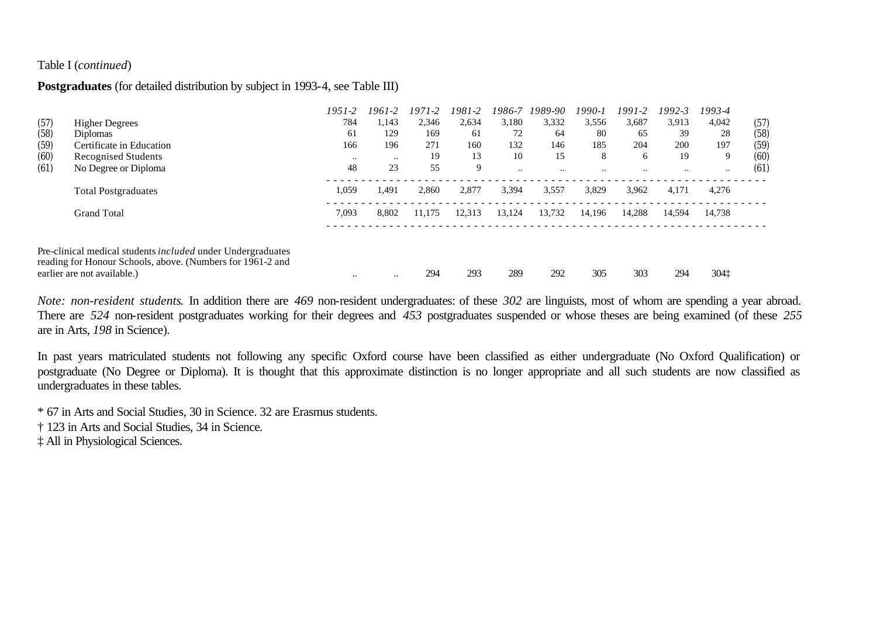### Table I (*continued*)

## **Postgraduates** (for detailed distribution by subject in 1993-4, see Table III)

|      |                                                                                                                                                          | $1951 - 2$    | 1961-2        | $1971 - 2$ | 1981-2 | 1986-7    | 1989-90   | $1990 - 1$ | 1991-2               | 1992-3    | 1993-4    |      |
|------|----------------------------------------------------------------------------------------------------------------------------------------------------------|---------------|---------------|------------|--------|-----------|-----------|------------|----------------------|-----------|-----------|------|
| (57) | <b>Higher Degrees</b>                                                                                                                                    | 784           | 1,143         | 2,346      | 2,634  | 3,180     | 3,332     | 3,556      | 3,687                | 3,913     | 4,042     | (57) |
| (58) | <b>Diplomas</b>                                                                                                                                          | 61            | 129           | 169        | 61     | 72        | 64        | 80         | 65                   | 39        | 28        | (58) |
| (59) | Certificate in Education                                                                                                                                 | 166           | 196           | 271        | 160    | 132       | 146       | 185        | 204                  | 200       | 197       | (59) |
| (60) | Recognised Students                                                                                                                                      | $\cdot \cdot$ | $\cdot \cdot$ | 19         | 13     | 10        | 15        | 8          | 6                    | 19        | 9         | (60) |
| (61) | No Degree or Diploma                                                                                                                                     | 48            | 23            | 55         | 9      | $\ddotsc$ | $\ddotsc$ | $\cdots$   | $\ddot{\phantom{0}}$ | $\ddotsc$ | $\ddotsc$ | (61) |
|      | <b>Total Postgraduates</b>                                                                                                                               | 1,059         | 1.491         | 2.860      | 2,877  | 3,394     | 3,557     | 3,829      | 3,962                | 4.171     | 4,276     |      |
|      | <b>Grand Total</b>                                                                                                                                       | 7,093         | 8,802         | 11.175     | 12,313 | 13,124    | 13,732    | 14,196     | 14,288               | 14.594    | 14,738    |      |
|      | Pre-clinical medical students included under Undergraduates<br>reading for Honour Schools, above. (Numbers for 1961-2 and<br>earlier are not available.) | $\ddotsc$     | $\ddotsc$     | 294        | 293    | 289       | 292       | 305        | 303                  | 294       | 3041      |      |

*Note: non-resident students*. In addition there are *469* non-resident undergraduates: of these *302* are linguists, most of whom are spending a year abroad. There are *524* non-resident postgraduates working for their degrees and *453* postgraduates suspended or whose theses are being examined (of these *255*  are in Arts, *198* in Science).

In past years matriculated students not following any specific Oxford course have been classified as either undergraduate (No Oxford Qualification) or postgraduate (No Degree or Diploma). It is thought that this approximate distinction is no longer appropriate and all such students are now classified as undergraduates in these tables.

\* 67 in Arts and Social Studies, 30 in Science. 32 are Erasmus students.

† 123 in Arts and Social Studies, 34 in Science.

‡ All in Physiological Sciences.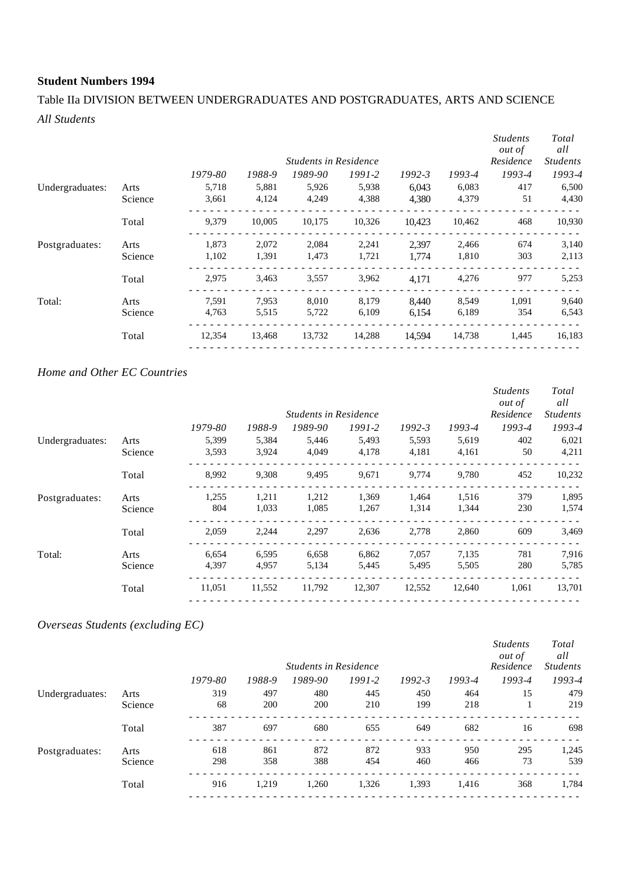# Table IIa DIVISION BETWEEN UNDERGRADUATES AND POSTGRADUATES, ARTS AND SCIENCE *All Students*

|                 |         |         |        | <b>Students in Residence</b> |        |            |        | <i>Students</i><br><i>out of</i><br>Residence | Total<br>all<br><b>Students</b> |
|-----------------|---------|---------|--------|------------------------------|--------|------------|--------|-----------------------------------------------|---------------------------------|
|                 |         |         |        |                              |        |            |        |                                               |                                 |
|                 |         | 1979-80 | 1988-9 | 1989-90                      | 1991-2 | $1992 - 3$ | 1993-4 | 1993-4                                        | 1993-4                          |
| Undergraduates: | Arts    | 5,718   | 5,881  | 5,926                        | 5,938  | 6,043      | 6,083  | 417                                           | 6,500                           |
|                 | Science | 3,661   | 4,124  | 4.249                        | 4,388  | 4,380      | 4,379  | 51                                            | 4,430                           |
|                 | Total   | 9,379   | 10,005 | 10,175                       | 10,326 | 10.423     | 10,462 | 468                                           | 10,930                          |
| Postgraduates:  | Arts    | 1,873   | 2,072  | 2,084                        | 2,241  | 2,397      | 2,466  | 674                                           | 3,140                           |
|                 | Science | 1,102   | 1,391  | 1,473                        | 1,721  | 1.774      | 1,810  | 303                                           | 2,113                           |
|                 | Total   | 2,975   | 3,463  | 3,557                        | 3,962  | 4,171      | 4,276  | 977                                           | 5,253                           |
| Total:          | Arts    | 7,591   | 7,953  | 8,010                        | 8,179  | 8,440      | 8,549  | 1,091                                         | 9,640                           |
|                 | Science | 4,763   | 5,515  | 5,722                        | 6,109  | 6,154      | 6,189  | 354                                           | 6,543                           |
|                 | Total   | 12,354  | 13,468 | 13,732                       | 14,288 | 14.594     | 14,738 | 1,445                                         | 16,183                          |
|                 |         |         |        |                              |        |            |        |                                               |                                 |

### *Home and Other EC Countries*

|                 |         |         |        |                              |          |            |        | <i>Students</i><br><i>out of</i> | <b>Total</b><br>all |
|-----------------|---------|---------|--------|------------------------------|----------|------------|--------|----------------------------------|---------------------|
|                 |         |         |        | <b>Students in Residence</b> |          |            |        | Residence                        | <b>Students</b>     |
|                 |         | 1979-80 | 1988-9 | 1989-90                      | $1991-2$ | $1992 - 3$ | 1993-4 | 1993-4                           | 1993-4              |
| Undergraduates: | Arts    | 5,399   | 5,384  | 5,446                        | 5,493    | 5,593      | 5,619  | 402                              | 6,021               |
|                 | Science | 3,593   | 3,924  | 4,049                        | 4,178    | 4,181      | 4,161  | 50                               | 4,211               |
|                 | Total   | 8,992   | 9,308  | 9,495                        | 9,671    | 9,774      | 9,780  | 452                              | 10,232              |
| Postgraduates:  | Arts    | 1,255   | 1,211  | 1,212                        | 1,369    | 1,464      | 1,516  | 379                              | 1,895               |
|                 | Science | 804     | 1,033  | 1,085                        | 1,267    | 1,314      | 1,344  | 230                              | 1,574               |
|                 | Total   | 2,059   | 2,244  | 2,297                        | 2,636    | 2,778      | 2,860  | 609                              | 3,469               |
| Total:          | Arts    | 6,654   | 6,595  | 6,658                        | 6,862    | 7,057      | 7,135  | 781                              | 7,916               |
|                 | Science | 4,397   | 4,957  | 5,134                        | 5,445    | 5,495      | 5,505  | 280                              | 5,785               |
|                 | Total   | 11,051  | 11,552 | 11,792                       | 12,307   | 12,552     | 12,640 | 1,061                            | 13,701              |
|                 |         |         |        |                              |          |            |        |                                  |                     |

# *Overseas Students (excluding EC)*

|                 |         |         |        | <b>Students in Residence</b> |            |            |        | <b>Students</b><br><i>out of</i><br>Residence | Total<br>all<br><b>Students</b> |
|-----------------|---------|---------|--------|------------------------------|------------|------------|--------|-----------------------------------------------|---------------------------------|
|                 |         | 1979-80 | 1988-9 | 1989-90                      | $1991 - 2$ | $1992 - 3$ | 1993-4 | 1993-4                                        | 1993-4                          |
| Undergraduates: | Arts    | 319     | 497    | 480                          | 445        | 450        | 464    | 15                                            | 479                             |
|                 | Science | 68      | 200    | 200                          | 210        | 199        | 218    |                                               | 219                             |
|                 | Total   | 387     | 697    | 680                          | 655        | 649        | 682    | 16                                            | 698                             |
| Postgraduates:  | Arts    | 618     | 861    | 872                          | 872        | 933        | 950    | 295                                           | 1,245                           |
|                 | Science | 298     | 358    | 388                          | 454        | 460        | 466    | 73                                            | 539                             |
|                 | Total   | 916     | 1,219  | 1,260                        | 1,326      | 1,393      | 1,416  | 368                                           | 1,784                           |
|                 |         |         |        |                              |            |            |        |                                               |                                 |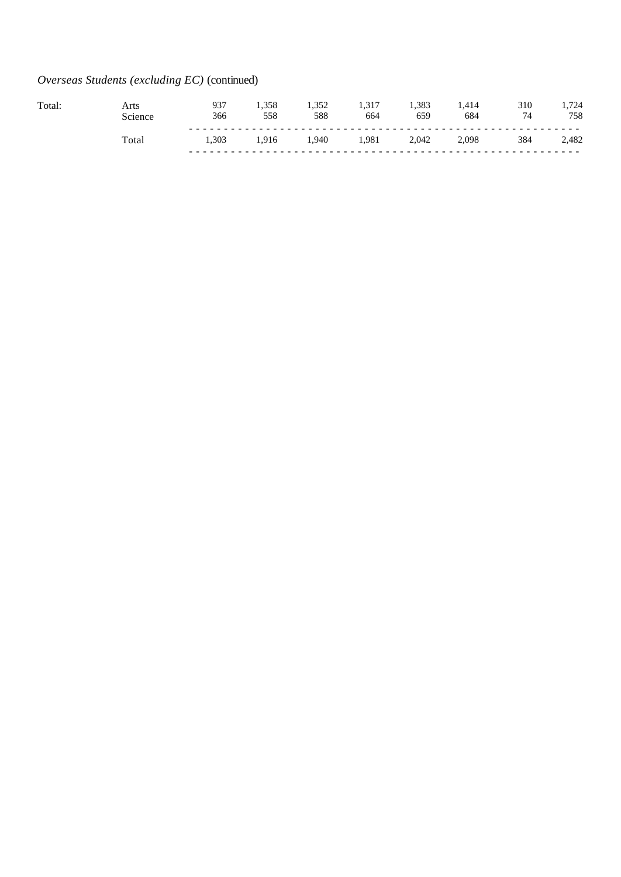# *Overseas Students (excluding EC)* (continued)

| Total. | Arts           | 937<br>366 | 1.358<br>558 | 588  | 1.317<br>664 | 1.383<br>659 | .414<br>684 | 310<br>74 | ,724<br>758 |
|--------|----------------|------------|--------------|------|--------------|--------------|-------------|-----------|-------------|
|        | $_{\rm Total}$ | 1.303      | 1.916        | .940 | .981         | 2.042        | 2,098       | 384       | 2,482       |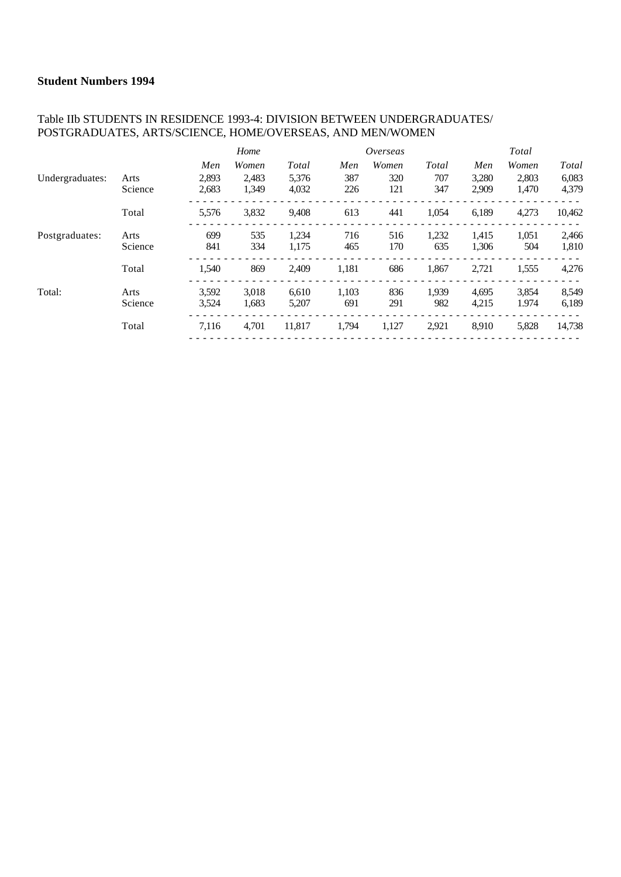### Table IIb STUDENTS IN RESIDENCE 1993-4: DIVISION BETWEEN UNDERGRADUATES/ POSTGRADUATES, ARTS/SCIENCE, HOME/OVERSEAS, AND MEN/WOMEN

|                 |         |       | Home  |        |       | Overseas |       |       | Total |        |
|-----------------|---------|-------|-------|--------|-------|----------|-------|-------|-------|--------|
|                 |         | Men   | Women | Total  | Men   | Women    | Total | Men   | Women | Total  |
| Undergraduates: | Arts    | 2.893 | 2.483 | 5.376  | 387   | 320      | 707   | 3,280 | 2,803 | 6,083  |
|                 | Science | 2,683 | 1.349 | 4,032  | 226   | 121      | 347   | 2,909 | 1,470 | 4,379  |
|                 | Total   | 5,576 | 3,832 | 9.408  | 613   | 441      | 1,054 | 6,189 | 4,273 | 10,462 |
| Postgraduates:  | Arts    | 699   | 535   | 1,234  | 716   | 516      | 1,232 | 1,415 | 1,051 | 2,466  |
|                 | Science | 841   | 334   | 1,175  | 465   | 170      | 635   | 1,306 | 504   | 1,810  |
|                 | Total   | 1,540 | 869   | 2,409  | 1,181 | 686      | 1,867 | 2,721 | 1,555 | 4,276  |
| Total:          | Arts    | 3,592 | 3,018 | 6,610  | 1,103 | 836      | 1,939 | 4,695 | 3,854 | 8,549  |
|                 | Science | 3,524 | 1,683 | 5,207  | 691   | 291      | 982   | 4,215 | 1.974 | 6,189  |
|                 | Total   | 7,116 | 4,701 | 11,817 | 1,794 | 1,127    | 2,921 | 8,910 | 5,828 | 14,738 |
|                 |         |       |       |        |       |          |       |       |       |        |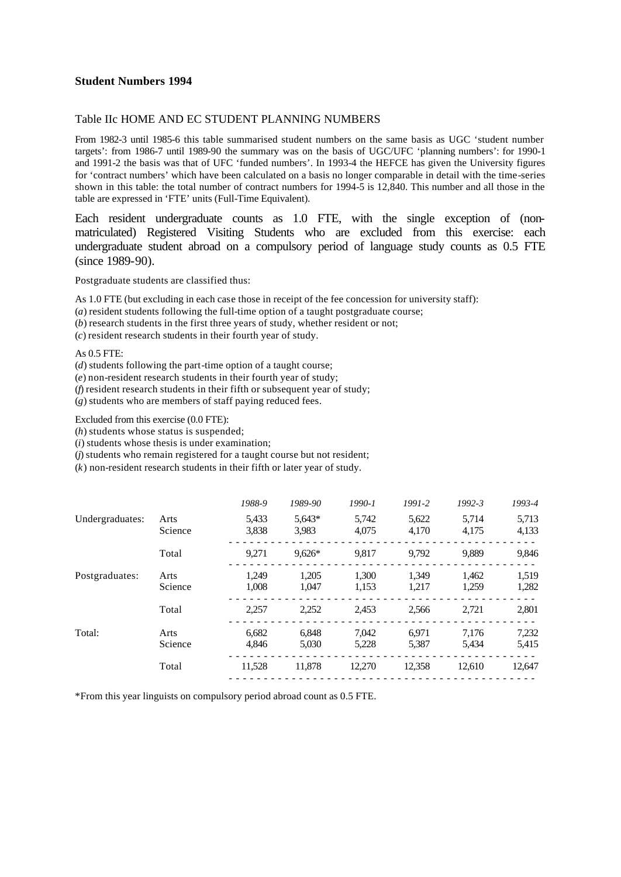#### Table IIc HOME AND EC STUDENT PLANNING NUMBERS

From 1982-3 until 1985-6 this table summarised student numbers on the same basis as UGC 'student number targets': from 1986-7 until 1989-90 the summary was on the basis of UGC/UFC 'planning numbers': for 1990-1 and 1991-2 the basis was that of UFC 'funded numbers'. In 1993-4 the HEFCE has given the University figures for 'contract numbers' which have been calculated on a basis no longer comparable in detail with the time-series shown in this table: the total number of contract numbers for 1994-5 is 12,840. This number and all those in the table are expressed in 'FTE' units (Full-Time Equivalent).

Each resident undergraduate counts as 1.0 FTE, with the single exception of (nonmatriculated) Registered Visiting Students who are excluded from this exercise: each undergraduate student abroad on a compulsory period of language study counts as 0.5 FTE (since 1989-90).

Postgraduate students are classified thus:

As 1.0 FTE (but excluding in each case those in receipt of the fee concession for university staff):

- (*a*) resident students following the full-time option of a taught postgraduate course;
- (*b*) research students in the first three years of study, whether resident or not;

(*c*) resident research students in their fourth year of study.

As 0.5 FTE:

(*d*) students following the part-time option of a taught course;

(*e*) non-resident research students in their fourth year of study;

(*f*) resident research students in their fifth or subsequent year of study;

(*g*) students who are members of staff paying reduced fees.

Excluded from this exercise (0.0 FTE):

(*h*) students whose status is suspended;

(*i*) students whose thesis is under examination;

(*j*) students who remain registered for a taught course but not resident;

(*k*) non-resident research students in their fifth or later year of study.

|                 |                 | 1988-9         | 1989-90           | 1990-1         | $1991-2$       | $1992 - 3$     | 1993-4         |
|-----------------|-----------------|----------------|-------------------|----------------|----------------|----------------|----------------|
| Undergraduates: | Arts<br>Science | 5,433<br>3,838 | $5,643*$<br>3,983 | 5,742<br>4.075 | 5,622<br>4,170 | 5,714<br>4,175 | 5,713<br>4,133 |
|                 | Total           | 9,271          | $9.626*$          | 9,817          | 9.792          | 9,889          | 9,846          |
| Postgraduates:  | Arts<br>Science | 1.249<br>1.008 | 1,205<br>1.047    | 1.300<br>1,153 | 1.349<br>1,217 | 1,462<br>1,259 | 1,519<br>1,282 |
|                 | Total           | 2.257          | 2,252             | 2.453          | 2.566          | 2.721          | 2,801          |
| Total:          | Arts<br>Science | 6.682<br>4,846 | 6.848<br>5,030    | 7.042<br>5,228 | 6.971<br>5,387 | 7.176<br>5,434 | 7,232<br>5,415 |
|                 | Total           | 11.528         | 11.878            | 12.270         | 12.358         | 12.610         | 12,647         |

\*From this year linguists on compulsory period abroad count as 0.5 FTE.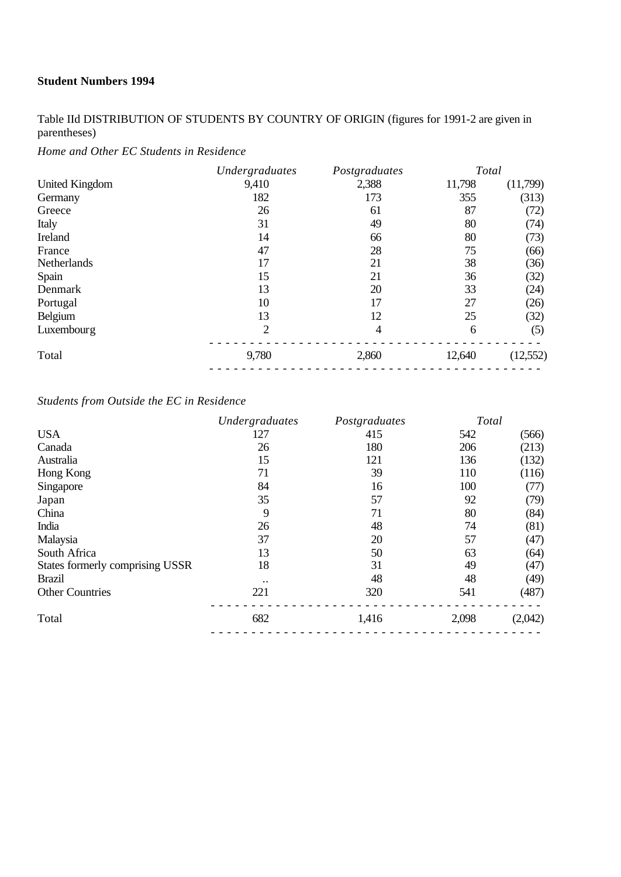Table IId DISTRIBUTION OF STUDENTS BY COUNTRY OF ORIGIN (figures for 1991-2 are given in parentheses)

*Home and Other EC Students in Residence*

|                       | Undergraduates | Postgraduates | Total  |          |
|-----------------------|----------------|---------------|--------|----------|
| <b>United Kingdom</b> | 9,410          | 2,388         | 11,798 | (11,799) |
| Germany               | 182            | 173           | 355    | (313)    |
| Greece                | 26             | 61            | 87     | (72)     |
| Italy                 | 31             | 49            | 80     | (74)     |
| Ireland               | 14             | 66            | 80     | (73)     |
| France                | 47             | 28            | 75     | (66)     |
| Netherlands           | 17             | 21            | 38     | (36)     |
| Spain                 | 15             | 21            | 36     | (32)     |
| Denmark               | 13             | 20            | 33     | (24)     |
| Portugal              | 10             | 17            | 27     | (26)     |
| Belgium               | 13             | 12            | 25     | (32)     |
| Luxembourg            | $\overline{2}$ | 4             | 6      | (5)      |
| Total                 | 9,780          | 2,860         | 12,640 | (12,552) |

# *Students from Outside the EC in Residence*

|                                 | Undergraduates | Postgraduates | Total |         |
|---------------------------------|----------------|---------------|-------|---------|
| <b>USA</b>                      | 127            | 415           | 542   | (566)   |
| Canada                          | 26             | 180           | 206   | (213)   |
| Australia                       | 15             | 121           | 136   | (132)   |
| Hong Kong                       | 71             | 39            | 110   | (116)   |
| Singapore                       | 84             | 16            | 100   | (77)    |
| Japan                           | 35             | 57            | 92    | (79)    |
| China                           | 9              | 71            | 80    | (84)    |
| India                           | 26             | 48            | 74    | (81)    |
| Malaysia                        | 37             | 20            | 57    | (47)    |
| South Africa                    | 13             | 50            | 63    | (64)    |
| States formerly comprising USSR | 18             | 31            | 49    | (47)    |
| <b>Brazil</b>                   |                | 48            | 48    | (49)    |
| <b>Other Countries</b>          | 221            | 320           | 541   | (487)   |
| Total                           | 682            | 1,416         | 2,098 | (2,042) |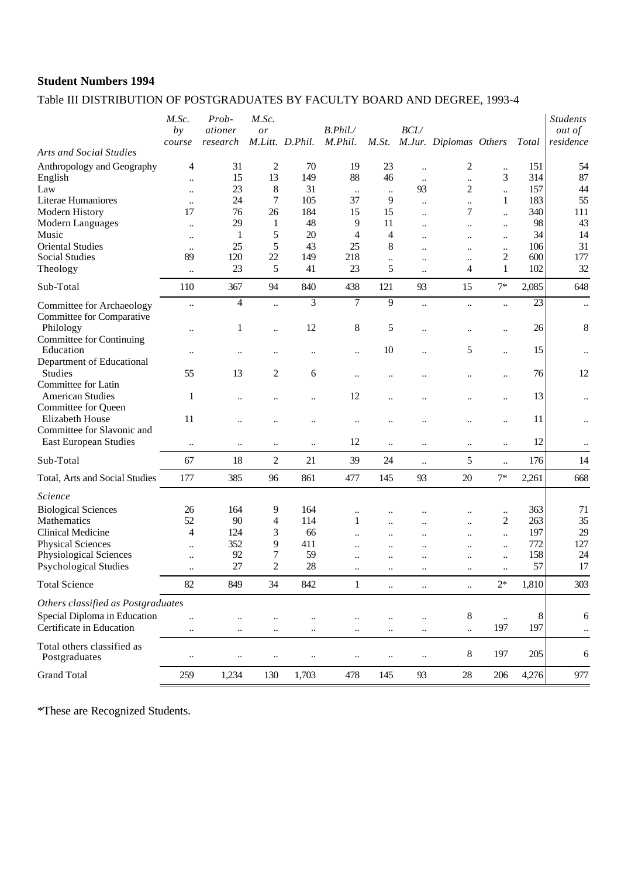# Table III DISTRIBUTION OF POSTGRADUATES BY FACULTY BOARD AND DEGREE, 1993-4

|                                                        | M.Sc.<br>by               | Prob-<br>ationer<br>$res\,$ | M.Sc.<br>or          | M.Litt. D.Phil.      | B. Phil.<br>M.Phil.  | M.St.                | <b>BCL</b>            | M.Jur. Diplomas Others    |                           | <b>Total</b> | <b>Students</b><br><i>out of</i><br>residence |
|--------------------------------------------------------|---------------------------|-----------------------------|----------------------|----------------------|----------------------|----------------------|-----------------------|---------------------------|---------------------------|--------------|-----------------------------------------------|
| <b>Arts and Social Studies</b>                         | course                    |                             |                      |                      |                      |                      |                       |                           |                           |              |                                               |
| Anthropology and Geography<br>English                  | 4<br>$\ddot{\phantom{a}}$ | 31<br>15                    | $\overline{c}$<br>13 | 70<br>149            | 19<br>88             | 23<br>46             | $\ldots$<br>$\ddotsc$ | 2<br>$\ddot{\phantom{0}}$ | $\ddot{\phantom{a}}$<br>3 | 151<br>314   | 54<br>87                                      |
| Law                                                    | $\ddotsc$                 | 23                          | 8                    | 31                   | $\ddotsc$            | $\ddotsc$            | 93                    | $\overline{c}$            | $\ddotsc$                 | 157          | 44                                            |
| Literae Humaniores                                     | $\ddot{\phantom{0}}$      | 24                          | 7                    | 105                  | 37                   | 9                    | $\ddotsc$             | $\ddotsc$                 | 1                         | 183          | 55                                            |
| Modern History                                         | 17                        | 76                          | 26                   | 184                  | 15                   | 15                   | $\ddotsc$             | 7                         | $\ddot{\phantom{a}}$      | 340          | 111                                           |
| Modern Languages                                       | $\ddot{\phantom{a}}$      | 29                          | 1                    | 48                   | 9                    | 11                   | $\ddot{\phantom{a}}$  |                           | $\ddot{\phantom{a}}$      | 98           | 43                                            |
| Music                                                  | $\ddotsc$                 | 1                           | 5                    | 20                   | 4                    | $\overline{4}$       |                       |                           | $\ddotsc$                 | 34           | 14                                            |
| <b>Oriental Studies</b>                                | $\ddotsc$                 | 25                          | 5                    | 43                   | 25                   | 8                    | $\ddotsc$             |                           | $\ddot{\phantom{a}}$      | 106          | 31                                            |
| <b>Social Studies</b>                                  | 89                        | 120                         | 22                   | 149                  | 218                  | $\ddotsc$            | $\ddotsc$             | $\ddotsc$                 | 2                         | 600          | 177                                           |
| Theology                                               | $\ddotsc$                 | 23                          | 5                    | 41                   | 23                   | 5                    | $\ddotsc$             | 4                         | 1                         | 102          | 32                                            |
| Sub-Total                                              | 110                       | 367                         | 94                   | 840                  | 438                  | 121                  | 93                    | 15                        | $7*$                      | 2,085        | 648                                           |
| Committee for Archaeology<br>Committee for Comparative | $\ddot{\phantom{0}}$      | $\overline{4}$              | $\ddot{\phantom{a}}$ | 3                    | $\overline{7}$       | $\overline{9}$       | $\ddot{\phantom{a}}$  | $\ddotsc$                 | $\ddot{\phantom{a}}$      | 23           | $\ddotsc$                                     |
| Philology<br>Committee for Continuing                  | $\ddotsc$                 | 1                           | $\ddot{\phantom{a}}$ | 12                   | 8                    | 5                    | $\ddot{\phantom{a}}$  |                           | $\ddot{\phantom{0}}$      | 26           | 8                                             |
| Education<br>Department of Educational                 |                           | $\ddot{\phantom{0}}$        |                      | $\ddot{\phantom{a}}$ |                      | 10                   | $\ddot{\phantom{a}}$  | 5                         | $\ddot{\phantom{a}}$      | 15           | $\ddotsc$                                     |
| <b>Studies</b><br>Committee for Latin                  | 55                        | 13                          | 2                    | 6                    | $\ddotsc$            |                      |                       |                           | $\ddot{\phantom{a}}$      | 76           | 12                                            |
| <b>American Studies</b><br>Committee for Queen         | $\mathbf{1}$              | $\ddotsc$                   | $\ddot{\phantom{0}}$ | $\ddot{\phantom{0}}$ | 12                   | $\ddot{\phantom{a}}$ | $\ddot{\phantom{0}}$  |                           | $\ddot{\phantom{a}}$      | 13           | $\ddotsc$                                     |
| <b>Elizabeth House</b><br>Committee for Slavonic and   | 11                        |                             |                      |                      | $\ddotsc$            |                      |                       |                           |                           | 11           | $\ddotsc$                                     |
| <b>East European Studies</b>                           | $\ldots$                  | $\ddotsc$                   | $\ddotsc$            | $\ddot{\phantom{0}}$ | 12                   | $\ddot{\phantom{a}}$ | $\ddotsc$             | $\ddot{\phantom{a}}$      | $\ddot{\phantom{a}}$      | 12           | $\ddotsc$                                     |
| Sub-Total                                              | 67                        | 18                          | $\overline{c}$       | 21                   | 39                   | 24                   | $\ddotsc$             | 5                         | $\ddotsc$                 | 176          | 14                                            |
| Total, Arts and Social Studies                         | 177                       | 385                         | 96                   | 861                  | 477                  | 145                  | 93                    | 20                        | $7*$                      | 2,261        | 668                                           |
| Science                                                |                           |                             |                      |                      |                      |                      |                       |                           |                           |              |                                               |
| <b>Biological Sciences</b>                             | 26                        | 164                         | 9                    | 164                  | $\ddotsc$            |                      |                       |                           | $\ddotsc$                 | 363          | 71                                            |
| Mathematics                                            | 52                        | 90                          | 4                    | 114                  | $\mathbf{1}$         | $\ddot{\phantom{0}}$ |                       | $\ddot{\phantom{0}}$      | 2                         | 263          | 35                                            |
| <b>Clinical Medicine</b>                               | 4                         | 124                         | 3                    | 66                   | $\ddot{\phantom{a}}$ | $\ddot{\phantom{a}}$ | $\ddot{\phantom{a}}$  |                           | $\ddot{\phantom{a}}$      | 197          | 29                                            |
| <b>Physical Sciences</b>                               | $\ddot{\phantom{0}}$      | 352                         | 9                    | 411                  |                      | $\ddot{\phantom{a}}$ | $\ddot{\phantom{a}}$  |                           | $\ddot{\phantom{a}}$      | 772          | 127                                           |
| Physiological Sciences                                 |                           | 92                          | 7                    | 59                   | $\ddotsc$            |                      |                       |                           | $\ddotsc$                 | 158          | 24                                            |
| <b>Psychological Studies</b>                           | $\ddot{\phantom{a}}$      | 27                          | $\overline{c}$       | 28                   | $\ddot{\phantom{a}}$ | $\ddotsc$            | $\ddotsc$             | $\ddotsc$                 | $\ddot{\phantom{a}}$      | 57           | 17                                            |
| <b>Total Science</b>                                   | 82                        | 849                         | 34                   | 842                  | $\mathbf{1}$         | $\ddotsc$            | $\ldots$              | $\ddotsc$                 | $2*$                      | 1,810        | 303                                           |
| Others classified as Postgraduates                     |                           |                             |                      |                      |                      |                      |                       |                           |                           |              |                                               |
| Special Diploma in Education                           | $\ddot{\phantom{a}}$      | $\ddotsc$                   | $\ddotsc$            |                      | $\ddotsc$            |                      | $\ddotsc$             | $\,8\,$                   | $\ddotsc$                 | $\,8\,$      | 6                                             |
| Certificate in Education                               | $\ldots$                  | $\ddotsc$                   | $\ldots$             | $\ddotsc$            | $\ddotsc$            | $\ddotsc$            | $\ddotsc$             | $\ldots$                  | 197                       | 197          | $\ddotsc$                                     |
| Total others classified as<br>Postgraduates            | $\ddotsc$                 | $\ddotsc$                   |                      | $\ddotsc$            | $\ddotsc$            | $\ddotsc$            | $\ddotsc$             | 8                         | 197                       | 205          | 6                                             |
|                                                        |                           |                             |                      |                      |                      |                      |                       |                           |                           |              |                                               |

\*These are Recognized Students.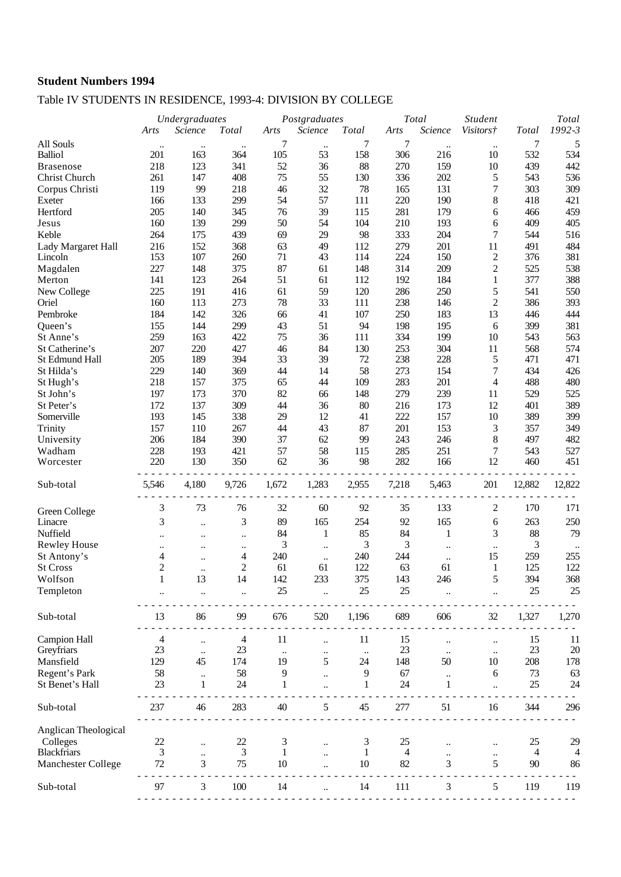# Table IV STUDENTS IN RESIDENCE, 1993-4: DIVISION BY COLLEGE

|                      | Undergraduates |           | Postgraduates        |           |                      | Total     | <b>Student</b> |              | Total                |              |               |
|----------------------|----------------|-----------|----------------------|-----------|----------------------|-----------|----------------|--------------|----------------------|--------------|---------------|
|                      | Arts           | Science   | <b>Total</b>         | Arts      | Science              | Total     | Arts           | Science      | <i>Visitors†</i>     | <b>Total</b> | 1992-3        |
| All Souls            | $\ddotsc$      | $\ddotsc$ |                      | 7         | $\ddot{\phantom{a}}$ | 7         | 7              | $\ddotsc$    | $\ddotsc$            | 7            | 5             |
| <b>Balliol</b>       | 201            | 163       | 364                  | 105       | 53                   | 158       | 306            | 216          | 10                   | 532          | 534           |
| <b>Brasenose</b>     | 218            | 123       | 341                  | 52        | 36                   | 88        | 270            | 159          | 10                   | 439          | 442           |
| Christ Church        | 261            | 147       | 408                  | 75        | 55                   | 130       | 336            | 202          | 5                    | 543          | 536           |
| Corpus Christi       | 119            | 99        | 218                  | 46        | 32                   | 78        | 165            | 131          | 7                    | 303          | 309           |
| Exeter               | 166            | 133       | 299                  | 54        | 57                   | 111       | 220            | 190          | $8\,$                | 418          | 421           |
| Hertford             | 205            | 140       | 345                  | 76        | 39                   | 115       | 281            | 179          | 6                    | 466          | 459           |
| Jesus                | 160            | 139       | 299                  | 50        | 54                   | 104       | 210            | 193          | 6                    | 409          | 405           |
| Keble                | 264            | 175       | 439                  | 69        | 29                   | 98        | 333            | 204          | 7                    | 544          | 516           |
| Lady Margaret Hall   | 216            | 152       | 368                  | 63        | 49                   | 112       | 279            | 201          | 11                   | 491          | 484           |
| Lincoln              | 153            | 107       | 260                  | 71        | 43                   | 114       | 224            | 150          | $\mathfrak{2}$       | 376          | 381           |
| Magdalen             | 227            | 148       | 375                  | 87        | 61                   | 148       | 314            | 209          | $\overline{c}$       | 525          | 538           |
| Merton               | 141            | 123       | 264                  | 51        | 61                   | 112       | 192            | 184          | $\mathbf{1}$         | 377          | 388           |
| New College          | 225            | 191       | 416                  | 61        | 59                   | 120       | 286            | 250          | 5                    | 541          | 550           |
| Oriel                | 160            | 113       | 273                  | 78        | 33                   | 111       | 238            | 146          | $\overline{c}$       | 386          | 393           |
| Pembroke             | 184            | 142       | 326                  | 66        | 41                   | 107       | 250            | 183          | 13                   | 446          | 444           |
| Queen's              | 155            | 144       | 299                  | 43        | 51                   | 94        | 198            | 195          | 6                    | 399          | 381           |
| St Anne's            | 259            | 163       | 422                  | 75        | 36                   | 111       | 334            | 199          | 10                   | 543          | 563           |
| St Catherine's       | 207            | 220       | 427                  | 46        | 84                   | 130       | 253            | 304          | 11                   | 568          | 574           |
| St Edmund Hall       | 205            | 189       | 394                  | 33        | 39                   | 72        | 238            | 228          | 5                    | 471          | 471           |
| St Hilda's           | 229            | 140       | 369                  | 44        | 14                   | 58        | 273            | 154          | 7                    | 434          | 426           |
| St Hugh's            | 218            | 157       | 375                  | 65        | 44                   | 109       | 283            | 201          | $\overline{4}$       | 488          | 480           |
| St John's            | 197            | 173       | 370                  | 82        | 66                   | 148       | 279            | 239          | 11                   | 529          | 525           |
| St Peter's           | 172            | 137       | 309                  | 44        | 36                   | 80        | 216            | 173          | 12                   | 401          | 389           |
| Somerville           | 193            | 145       | 338                  | 29        | 12                   | 41        | 222            | 157          | 10                   | 389          | 399           |
| Trinity              | 157            | 110       | 267                  | 44        | 43                   | 87        | 201            | 153          | 3                    | 357          | 349           |
| University           | 206            | 184       | 390                  | 37        | 62                   | 99        | 243            | 246          | 8                    | 497          | 482           |
| Wadham               | 228            | 193       | 421                  | 57        | 58                   | 115       | 285            | 251          | 7                    | 543          | 527           |
| Worcester            | 220            | 130       | 350                  | 62        | 36                   | 98        | 282            | 166          | 12                   | 460          | 451           |
| Sub-total            | 5,546          | 4,180     | 9,726                | 1,672     | 1,283                | 2,955     | 7,218          | 5,463        | 201                  | 12,882       | 12,822        |
|                      |                |           |                      |           |                      |           |                |              |                      |              |               |
| Green College        | 3              | 73        | 76                   | 32        | 60                   | 92        | 35             | 133          | 2                    | 170          | 171           |
| Linacre              | 3              | $\ldots$  | 3                    | 89        | 165                  | 254       | 92             | 165          | 6                    | 263          | 250           |
| Nuffield             | $\ddotsc$      |           | $\ddotsc$            | 84        | 1                    | 85        | 84             | 1            | 3                    | 88           | 79            |
| <b>Rewley House</b>  | $\ddotsc$      |           | $\ddot{\phantom{0}}$ | 3         | $\ddotsc$            | 3         | 3              |              | $\ldots$             | 3            |               |
| St Antony's          | 4              | $\ddotsc$ | 4                    | 240       | $\ddotsc$            | 240       | 244            | $\ddotsc$    | 15                   | 259          | 255           |
| <b>St Cross</b>      | $\overline{c}$ | $\ldots$  | 2                    | 61        | 61                   | 122       | 63             | 61           | 1                    | 125          | 122           |
| Wolfson              | $\mathbf{1}$   | 13        | 14                   | 142       | 233                  | 375       | 143            | 246          | 5                    | 394          | 368           |
| Templeton            |                |           | $\ddotsc$            | 25        | $\ddot{\phantom{a}}$ | 25        | 25             |              | $\ddot{\phantom{a}}$ | 25           | 25            |
| Sub-total            | 13             | 86        | 99                   | 676       | 520                  | 1,196     | 689            | 606          | 32                   | 1,327        | 1,270         |
| <b>Campion Hall</b>  | 4              |           | 4                    | 11        |                      | 11        | 15             |              |                      | 15           | 11            |
| Greyfriars           | 23             | $\ldots$  | 23                   | $\ddotsc$ | $\ddotsc$            | $\ddotsc$ | 23             | $\ddotsc$    | $\ldots$             | 23           | 20            |
| Mansfield            | 129            | 45        | 174                  | 19        | 5                    | 24        | 148            | 50           | 10                   | 208          | 178           |
| Regent's Park        | 58             |           | 58                   | 9         |                      | 9         | 67             |              | 6                    | 73           | 63            |
| St Benet's Hall      | 23             | 1         | 24                   | 1         |                      | 1         | 24             | $\mathbf{1}$ |                      | 25           | 24            |
|                      | 237            | 46        | 283                  | 40        | 5                    | 45        | 277            | 51           | 16                   | 344          | 296           |
| Sub-total            |                |           |                      |           |                      |           |                |              |                      |              |               |
| Anglican Theological |                |           |                      |           |                      |           |                |              |                      |              |               |
| Colleges             | 22             | $\ldots$  | 22                   | 3         |                      | 3         | 25             |              |                      | 25           | 29            |
| <b>Blackfriars</b>   | 3              | $\ddotsc$ | 3                    | 1         |                      | 1         | 4              |              | $\ldots$             | 4            | 4             |
| Manchester College   | 72             | 3         | 75                   | 10        |                      | 10        | 82             | 3            | 5                    | 90           | 86            |
| Sub-total            | 97             | 3         | 100                  | 14        |                      | 14        | 111            | 3            | 5                    | 119          | 119           |
|                      |                |           |                      |           |                      |           |                |              |                      |              | $\sim$ $\sim$ |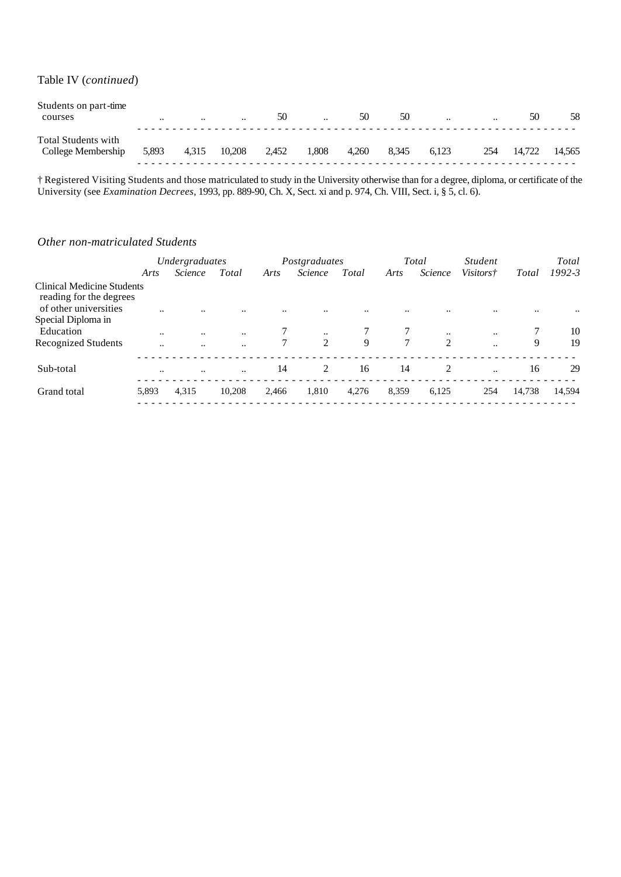Table IV (*continued*)

| Students on part-time<br>courses                 | $\ddotsc$ | $\cdot\cdot$ | $\ddotsc$ | 50    | $\ddotsc$ | 50    | 50    | $\ddotsc$ | $\cdot$ . | 50     | 58     |
|--------------------------------------------------|-----------|--------------|-----------|-------|-----------|-------|-------|-----------|-----------|--------|--------|
| <b>Total Students with</b><br>College Membership | 5,893     | 4,315        | 10,208    | 2,452 | 1.808     | 4.260 | 8.345 | 6.123     | 254       | 14.722 | 14.565 |

† Registered Visiting Students and those matriculated to study in the University otherwise than for a degree, diploma, or certificate of the University (see *Examination Decrees*, 1993, pp. 889-90, Ch. X, Sect. xi and p. 974, Ch. VIII, Sect. i, § 5, cl. 6).

#### *Other non-matriculated Students*

|                                                                                | Undergraduates       |                      |                      |       | Postgraduates  |       |        | Total          | <i>Student</i>   |        | Total      |  |
|--------------------------------------------------------------------------------|----------------------|----------------------|----------------------|-------|----------------|-------|--------|----------------|------------------|--------|------------|--|
|                                                                                | Arts                 | <i>Science</i>       | Total                | Arts  | <i>Science</i> | Total | Arts   | Science        | <i>Visitors†</i> | Total  | $1992 - 3$ |  |
| Clinical Medicine Students<br>reading for the degrees<br>of other universities |                      |                      |                      |       |                |       |        |                |                  |        |            |  |
| Special Diploma in                                                             |                      |                      |                      |       |                |       |        |                |                  |        |            |  |
| Education                                                                      |                      | $\ddotsc$            | $\ddotsc$            |       | $\ddotsc$      |       |        | $\ddotsc$      |                  |        | 10         |  |
| <b>Recognized Students</b>                                                     | $\ddot{\phantom{a}}$ | $\ddot{\phantom{a}}$ | $\ddot{\phantom{a}}$ |       | 2              | 9     | $\tau$ | $\overline{2}$ |                  | 9      | 19         |  |
| Sub-total                                                                      |                      | $\ddotsc$            | $\ddotsc$            | 14    | 2              | 16    | 14     | $\overline{2}$ | $\ddotsc$        | 16     | 29         |  |
| Grand total                                                                    | 5,893                | 4,315                | 10.208               | 2,466 | 1,810          | 4,276 | 8,359  | 6,125          | 254              | 14,738 | 14,594     |  |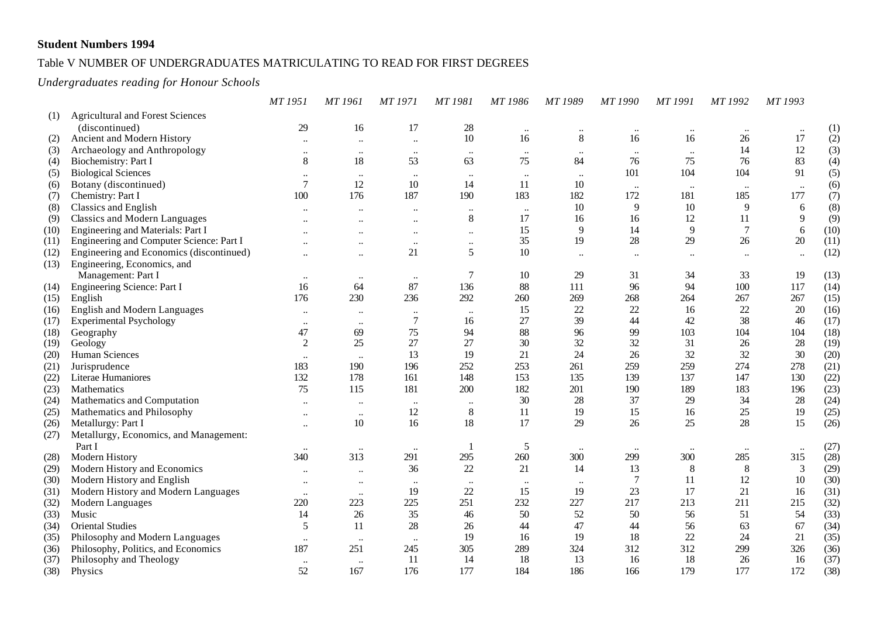## Table V NUMBER OF UNDERGRADUATES MATRICULATING TO READ FOR FIRST DEGREES

### *Undergraduates reading for Honour Schools*

|      |                                          | MT 1951                   | MT 1961              | MT 1971      | <b>MT1981</b>        | MT 1986   | MT 1989        | <b>MT1990</b>  | <b>MT1991</b>  | MT 1992              | MT 1993        |      |
|------|------------------------------------------|---------------------------|----------------------|--------------|----------------------|-----------|----------------|----------------|----------------|----------------------|----------------|------|
| (1)  | <b>Agricultural and Forest Sciences</b>  |                           |                      |              |                      |           |                |                |                |                      |                |      |
|      | (discontinued)                           | 29                        | 16                   | 17           | 28                   | $\ldots$  | $\ddotsc$      | $\ldots$       | $\ldots$       | $\ddot{\phantom{0}}$ | $\ddotsc$      | (1)  |
| (2)  | Ancient and Modern History               |                           | $\ldots$             | $\ddotsc$    | $10\,$               | 16        | $8\,$          | 16             | 16             | 26                   | 17             | (2)  |
| (3)  | Archaeology and Anthropology             | $\ldots$                  | $\ddotsc$            | $\ldots$     | $\ldots$             | $\ldots$  | $\ddotsc$      | $\ddotsc$      | $\ddots$       | 14                   | 12             | (3)  |
| (4)  | Biochemistry: Part I                     | $\,8\,$                   | 18                   | 53           | 63                   | 75        | 84             | 76             | 75             | 76                   | 83             | (4)  |
| (5)  | <b>Biological Sciences</b>               | $\ddotsc$                 | $\cdot\cdot$         | $\ldots$     | $\ldots$             | $\cdots$  | $\cdot\cdot$   | 101            | 104            | 104                  | 91             | (5)  |
| (6)  | Botany (discontinued)                    | $\overline{7}$            | 12                   | 10           | 14                   | 11        | 10             |                | $\ddotsc$      |                      | $\ddots$       | (6)  |
| (7)  | Chemistry: Part I                        | 100                       | 176                  | 187          | 190                  | 183       | 182            | 172            | 181            | 185                  | 177            | (7)  |
| (8)  | <b>Classics and English</b>              |                           |                      | $\ddotsc$    | $\ddotsc$            | $\ddotsc$ | 10             | 9              | 10             | 9                    | 6              | (8)  |
| (9)  | <b>Classics and Modern Languages</b>     |                           | $\ddotsc$            | $\ldots$     | $\,8\,$              | 17        | 16             | 16             | 12             | 11                   | 9              | (9)  |
| (10) | Engineering and Materials: Part I        |                           |                      | $\ldots$     | $\ldots$             | 15        | $\overline{9}$ | 14             | $\overline{9}$ | $\overline{7}$       | 6              | (10) |
| (11) | Engineering and Computer Science: Part I |                           | $\ddotsc$            | $\ldots$     | $\ddotsc$            | 35        | 19             | 28             | 29             | 26                   | 20             | (11) |
| (12) | Engineering and Economics (discontinued) | $\ddot{\phantom{a}}$      | $\ddotsc$            | 21           | 5                    | 10        | $\ddotsc$      | $\ddotsc$      | $\ddotsc$      | $\ddot{\phantom{0}}$ | $\ddotsc$      | (12) |
| (13) | Engineering, Economics, and              |                           |                      |              |                      |           |                |                |                |                      |                |      |
|      | Management: Part I                       | $\ldots$                  | $\ldots$             | $\ldots$     | $\overline{7}$       | 10        | 29             | 31             | 34             | 33                   | 19             | (13) |
| (14) | Engineering Science: Part I              | 16                        | 64                   | 87           | 136                  | 88        | 111            | 96             | 94             | 100                  | 117            | (14) |
| (15) | English                                  | 176                       | 230                  | 236          | 292                  | 260       | 269            | 268            | 264            | 267                  | 267            | (15) |
| (16) | English and Modern Languages             | $\ddot{\phantom{0}}$      | $\ddotsc$            | $\ddotsc$    | $\ddotsc$            | 15        | 22             | 22             | 16             | 22                   | 20             | (16) |
| (17) | <b>Experimental Psychology</b>           | $\ddot{\phantom{0}}$      | $\ddotsc$            | $\tau$       | 16                   | 27        | 39             | 44             | 42             | 38                   | 46             | (17) |
| (18) | Geography                                | 47                        | 69                   | 75           | 94                   | 88        | 96             | 99             | 103            | 104                  | 104            | (18) |
| (19) | Geology                                  | 2                         | 25                   | 27           | 27                   | 30        | 32             | 32             | 31             | 26                   | 28             | (19) |
| (20) | Human Sciences                           | $\ldots$                  | $\ddotsc$            | 13           | 19                   | 21        | 24             | 26             | 32             | 32                   | 30             | (20) |
| (21) | Jurisprudence                            | 183                       | 190                  | 196          | 252                  | 253       | 261            | 259            | 259            | 274                  | 278            | (21) |
| (22) | Literae Humaniores                       | 132                       | 178                  | 161          | 148                  | 153       | 135            | 139            | 137            | 147                  | 130            | (22) |
| (23) | Mathematics                              | 75                        | 115                  | 181          | 200                  | 182       | 201            | 190            | 189            | 183                  | 196            | (23) |
| (24) | Mathematics and Computation              | $\ddot{\phantom{0}}\cdot$ | $\ddot{\phantom{0}}$ | $\ddotsc$    | $\ddot{\phantom{0}}$ | 30        | $28\,$         | 37             | 29             | 34                   | 28             | (24) |
| (25) | Mathematics and Philosophy               | $\ddotsc$                 | $\ddots$             | 12           | $\,8\,$              | 11        | 19             | 15             | 16             | 25                   | 19             | (25) |
| (26) | Metallurgy: Part I                       | $\ddotsc$                 | 10                   | 16           | 18                   | 17        | 29             | 26             | 25             | 28                   | 15             | (26) |
| (27) | Metallurgy, Economics, and Management:   |                           |                      |              |                      |           |                |                |                |                      |                |      |
|      | Part I                                   | $\ddotsc$                 | $\cdot \cdot$        | $\cdot\cdot$ |                      | 5         | $\ldots$       | $\ddotsc$      | $\ddotsc$      | $\ddotsc$            | $\ddotsc$      | (27) |
| (28) | Modern History                           | 340                       | 313                  | 291          | 295                  | 260       | 300            | 299            | 300            | 285                  | 315            | (28) |
| (29) | Modern History and Economics             | $\ddotsc$                 | $\ddotsc$            | 36           | $22\,$               | 21        | 14             | 13             | 8              | $\,8\,$              | $\mathfrak{Z}$ | (29) |
| (30) | Modern History and English               |                           | $\ddotsc$            | $\ldots$     | $\ddotsc$            | $\ddotsc$ | $\cdot\cdot$   | $\overline{7}$ | 11             | 12                   | 10             | (30) |
| (31) | Modern History and Modern Languages      |                           | $\ddots$             | 19           | 22                   | 15        | 19             | 23             | 17             | 21                   | 16             | (31) |
| (32) | Modern Languages                         | 220                       | 223                  | 225          | 251                  | 232       | 227            | 217            | 213            | 211                  | 215            | (32) |
| (33) | Music                                    | 14                        | 26                   | 35           | $46$                 | 50        | 52             | 50             | 56             | 51                   | 54             | (33) |
| (34) | <b>Oriental Studies</b>                  | 5                         | 11                   | 28           | 26                   | 44        | 47             | 44             | 56             | 63                   | 67             | (34) |
| (35) | Philosophy and Modern Languages          | $\ldots$                  | $\ldots$             | $\ldots$     | 19                   | 16        | 19             | 18             | 22             | 24                   | 21             | (35) |
| (36) | Philosophy, Politics, and Economics      | 187                       | 251                  | 245          | 305                  | 289       | 324            | 312            | 312            | 299                  | 326            | (36) |
| (37) | Philosophy and Theology                  | $\ldots$                  | $\ddots$             | 11           | 14                   | 18        | 13             | 16             | 18             | 26                   | 16             | (37) |
| (38) | Physics                                  | 52                        | 167                  | 176          | 177                  | 184       | 186            | 166            | 179            | 177                  | 172            | (38) |